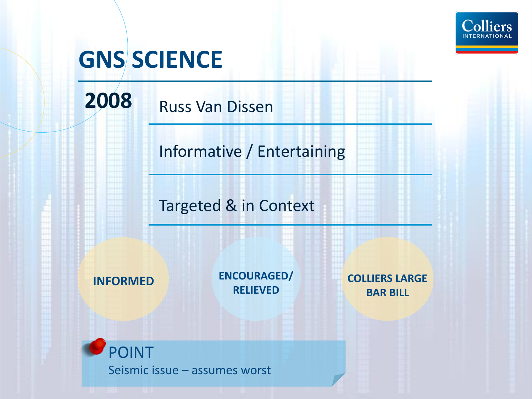

# **GNS SCIENCE**

**2008** Russ Van Dissen

Informative / Entertaining

Targeted & in Context

**INFORMED ENCOURAGED/ RELIEVED**

**COLLIERS LARGE BAR BILL**

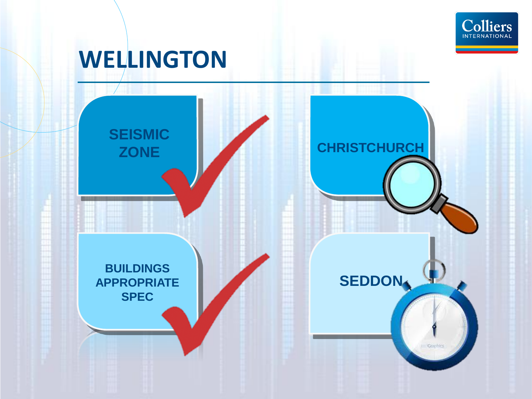

# **WELLINGTON**

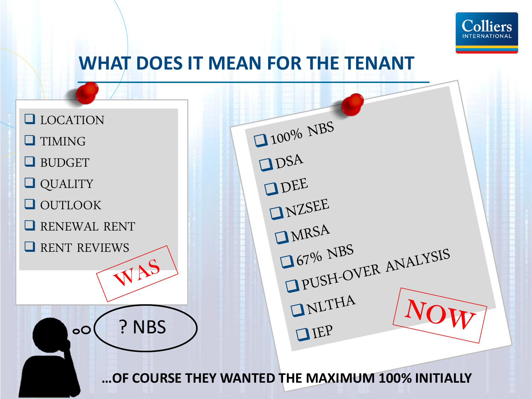

### **WHAT DOES IT MEAN FOR THE TENANT**

**LOCATION O**TIMING **Q**BUDGET QUALITY **OUTLOOK RENEWAL RENT** RENT REVIEWS ? NBS  $\overline{O}$ 

 $\Box 100\%$  NBS  $\Box$  DSA ODEE INZSEE IMRSA  $167%$  NBS 167% NBS<br>19USH-OVER ANALYSIS INLTHA  $IIF$ 

**…OF COURSE THEY WANTED THE MAXIMUM 100% INITIALLY**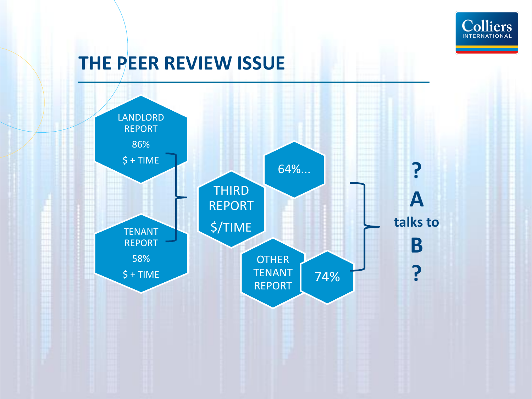

### **THE PEER REVIEW ISSUE**

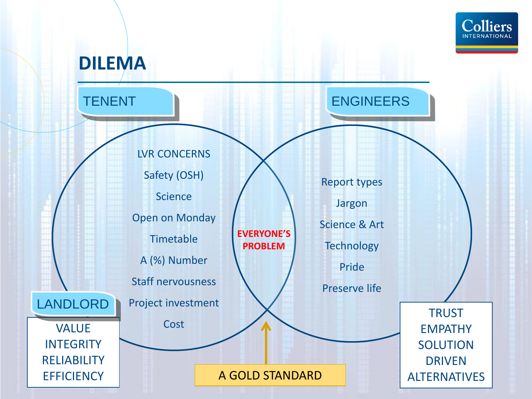

#### **DILEMA**

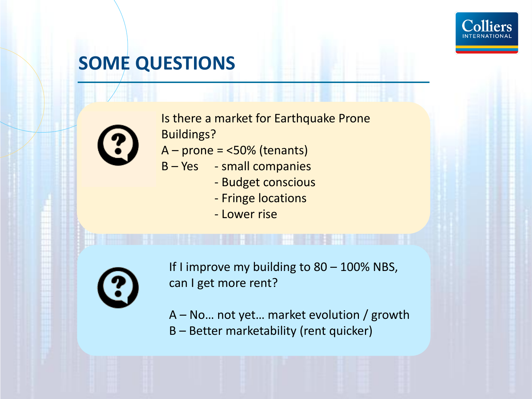

## **SOME QUESTIONS**



Is there a market for Earthquake Prone Buildings?

- $A -$  prone =  $<$ 50% (tenants)
- B Yes small companies
	- Budget conscious
	- Fringe locations
	- Lower rise



If I improve my building to 80 - 100% NBS, can I get more rent?

A – No… not yet… market evolution / growth B – Better marketability (rent quicker)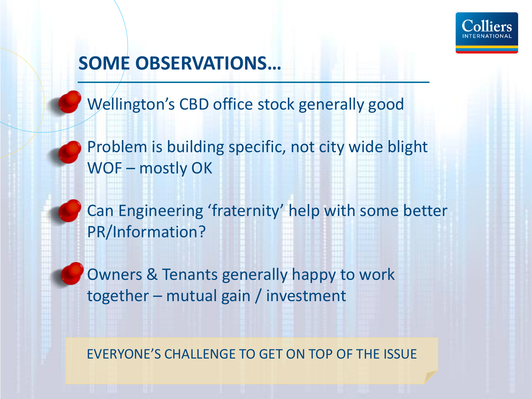

## **SOME OBSERVATIONS…**

Wellington's CBD office stock generally good

Problem is building specific, not city wide blight WOF – mostly OK

Can Engineering 'fraternity' help with some better PR/Information?

Owners & Tenants generally happy to work together – mutual gain / investment

EVERYONE'S CHALLENGE TO GET ON TOP OF THE ISSUE